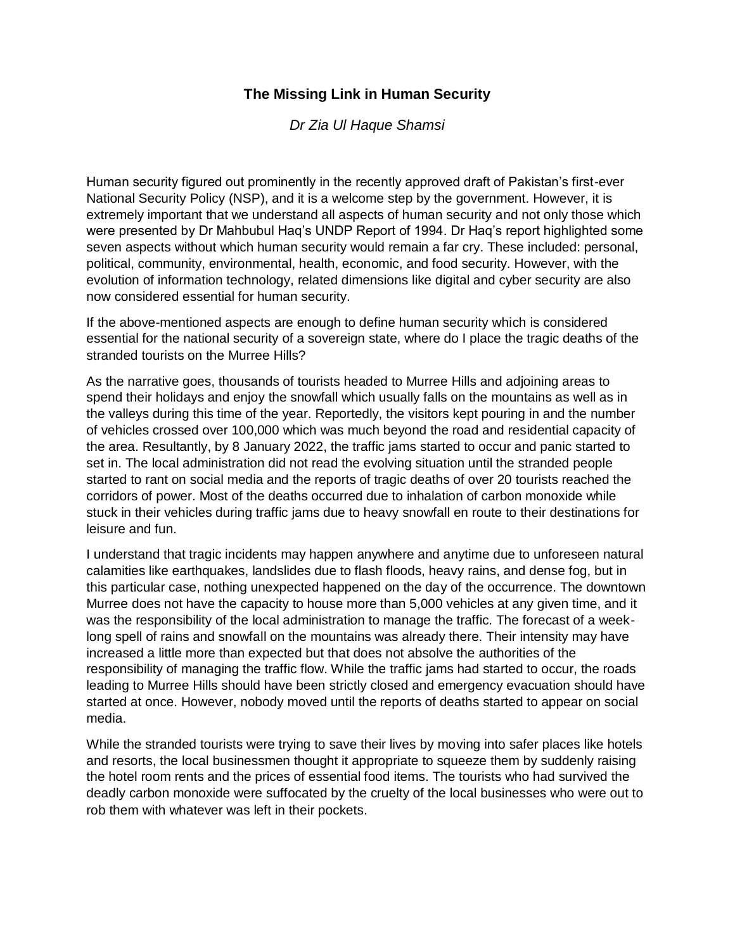## **The Missing Link in Human Security**

*[Dr Zia Ul Haque Shamsi](https://dailytimes.com.pk/writer/dr-zia-ul-haque-shamsi/)*

Human security figured out prominently in the recently approved draft of Pakistan's first-ever National Security Policy (NSP), and it is a welcome step by the government. However, it is extremely important that we understand all aspects of human security and not only those which were presented by Dr Mahbubul Haq's UNDP Report of 1994. Dr Haq's report highlighted some seven aspects without which human security would remain a far cry. These included: personal, political, community, environmental, health, economic, and food security. However, with the evolution of information technology, related dimensions like digital and cyber security are also now considered essential for human security.

If the above-mentioned aspects are enough to define human security which is considered essential for the national security of a sovereign state, where do I place the tragic deaths of the stranded tourists on the Murree Hills?

As the narrative goes, thousands of tourists headed to Murree Hills and adjoining areas to spend their holidays and enjoy the snowfall which usually falls on the mountains as well as in the valleys during this time of the year. Reportedly, the visitors kept pouring in and the number of vehicles crossed over 100,000 which was much beyond the road and residential capacity of the area. Resultantly, by 8 January 2022, the traffic jams started to occur and panic started to set in. The local administration did not read the evolving situation until the stranded people started to rant on social media and the reports of tragic deaths of over 20 tourists reached the corridors of power. Most of the deaths occurred due to inhalation of carbon monoxide while stuck in their vehicles during traffic jams due to heavy snowfall en route to their destinations for leisure and fun.

I understand that tragic incidents may happen anywhere and anytime due to unforeseen natural calamities like earthquakes, landslides due to flash floods, heavy rains, and dense fog, but in this particular case, nothing unexpected happened on the day of the occurrence. The downtown Murree does not have the capacity to house more than 5,000 vehicles at any given time, and it was the responsibility of the local administration to manage the traffic. The forecast of a weeklong spell of rains and snowfall on the mountains was already there. Their intensity may have increased a little more than expected but that does not absolve the authorities of the responsibility of managing the traffic flow. While the traffic jams had started to occur, the roads leading to Murree Hills should have been strictly closed and emergency evacuation should have started at once. However, nobody moved until the reports of deaths started to appear on social media.

While the stranded tourists were trying to save their lives by moving into safer places like hotels and resorts, the local businessmen thought it appropriate to squeeze them by suddenly raising the hotel room rents and the prices of essential food items. The tourists who had survived the deadly carbon monoxide were suffocated by the cruelty of the local businesses who were out to rob them with whatever was left in their pockets.